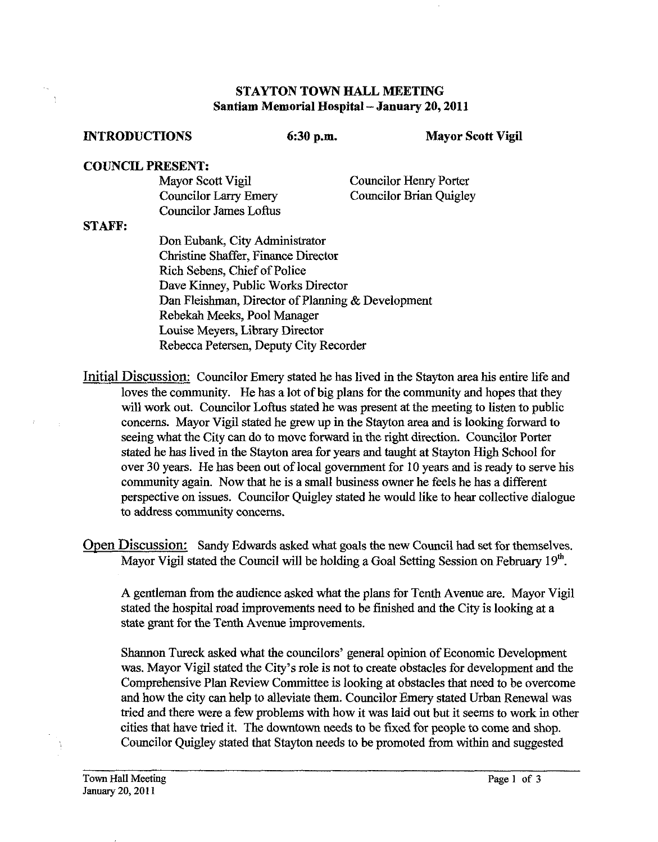## **STAYTON TOWN HALL MEETING Santiam Memorial Hospital** - **January 20,2011**

## **INTRODUCTIONS** 6:30 p.m. Mayor Scott Vigil

## **COUNCIL PRESENT:**

| Mayor Scott Vigil             | <b>Councilor Henry Porter</b> |
|-------------------------------|-------------------------------|
| <b>Councilor Larry Emery</b>  | Councilor Brian Quigley       |
| <b>Councilor James Loftus</b> |                               |

## **STAFF:**

 $\ddot{\phantom{1}}$ 

Don Eubank, City Administrator Christine Shaffer, Finance Director Rich Sebens, Chief of Police Dave Kinney, Public Works Director Dan Fleishman, Director of Planning & Development Rebekah Meeks, Pool Manager Louise Meyers, Library Director Rebecca Petersen, Deputy City Recorder

Initial Discussion: Councilor Emery stated he has lived in the Stayton area his entire life and loves the community. He **has** a lot of big plans for the community and hopes that they will work out. Councilor Loftus stated he was present at the meeting to listen to public concerns. Mayor Vigil stated he grew up in the Stayton area and is looking forward to seeing what the City can do to move forward in the right direction. Councilor Porter stated he **has** lived in the Stayton area for years and taught at Stayton High School for over 30 years. He has been out of local government for 10 years and is ready to serve his community again. Now that he is a smaU business owner he feels he has a different perspective on issues. Councilor Quigley stated he would like to hear collective dialogue to address community concerns.

Open Discussion: Sandy Edwards asked what goals the new Council had set for themselves. Mayor Vigil stated the Council will be holding a Goal Setting Session on February 19<sup>th</sup>.

A gentleman fiom the audience asked what the plans for Tenth Avenue are. Mayor Vigil stated the hospital road improvements need to be finished and the City is looking at a state grant for the Tenth Avenue improvements.

Shannon Tureck asked what the councilors' general opinion of Economic Development was. Mayor Vigil stated the City's role is not to create obstacles for development and the Comprehensive Plan Review Committee is looking at obstacles that need to be overcome and how the city can help to alleviate them. Councilor Emery stated Urban Renewal was tried and there were a few problems with how it was laid out but it seems to work in other cities that have tried it. The downtown needs to be fixed for people to come and shop. Councilor Quigley stated that Stayton needs to be promoted fiom within and suggested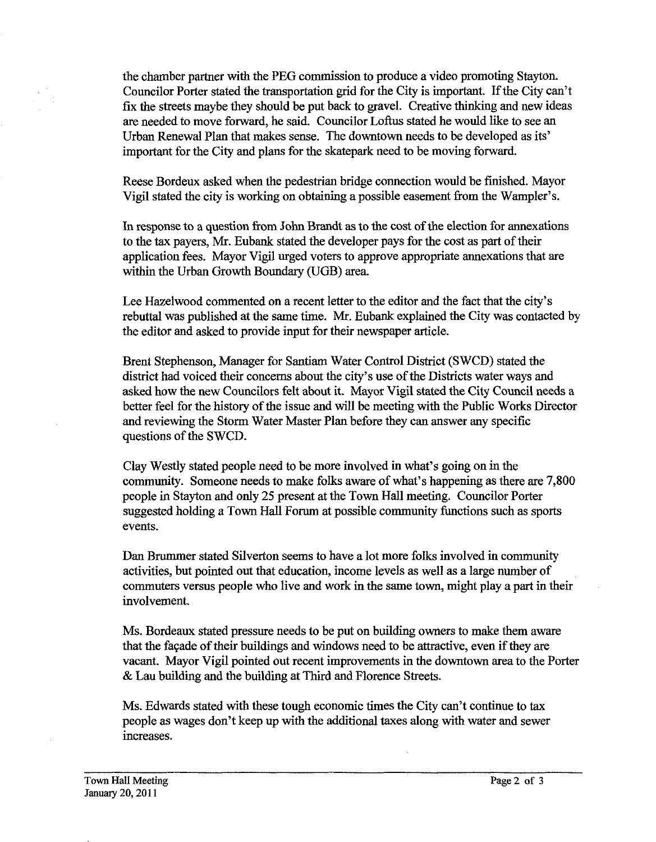the chamber partner with the PEG commission to produce a video promoting Stayton. Councilor Porter stated the transportation grid for the City is important. If the City can't fix the streets maybe they should be put back to gravel. Creative thinking and new ideas are needed to move forward, he said. Councilor Loftus stated he would like to see an Urban Renewal Plan that makes sense. The downtown needs to be developed as its' important for the City and plans for the skatepark need to be moving forward.

Reese Bordeux asked when the pedestrian bridge connection would be finished. Mayor Vigil stated the city is working on obtaining a possible easement from the Wampler's.

In response to a question from John Brandt as to the cost of the election for annexations to the tax payers, Mr. Eubank stated the developer pays for the cost as part of their application fees. Mayor Vigil urged voters to approve appropriate annexations that are within the Urban Growth Boundary (UGB) area.

Lee Hazelwood commented on a recent letter to the editor and the fact that the city's rebuttal was published at the same time. Mr. Eubank explained the City was contacted by the editor and asked to provide input for their newspaper article.

Brent Stephenson, Manager for Santiam Water Control District (SWCD) stated the district had voiced their concerns about the city's use of the Districts water ways and asked how the new Councilors felt about it. Mayor Vigil stated the City Council needs a better feel for the history of the issue and will be meeting with the Public Works Director and reviewing the Storm Water Master Plan before they can answer any specific questions of the SWCD.

Clay Westly stated people need to be more involved in what's going on in the community. Someone needs to make folks aware of what's happening as there are 7,800 people in Stayton and only 25 present at the Town Hall meeting. Councilor Porter suggested holding a Town Hall Forum at possible community functions such as sports events.

Dan Brummer stated Silverton seems to have a lot more folks involved in community activities, but pointed out that education, income levels as well as a large number of commuters versus people who live and work in the same town, might play a part in their involvement.

Ms. Bordeaux stated pressure needs to be put on building owners to make them aware that the facade of their buildings and windows need to be attractive, even if they are vacant. Mayor Vigil pointed out recent improvements in the downtown area to the Porter & Lau building and the building at Third and Florence Streets.

Ms. Edwards stated with these tough economic times the City can't continue to tax people as wages don't keep up with the additional taxes along with water and sewer increases.